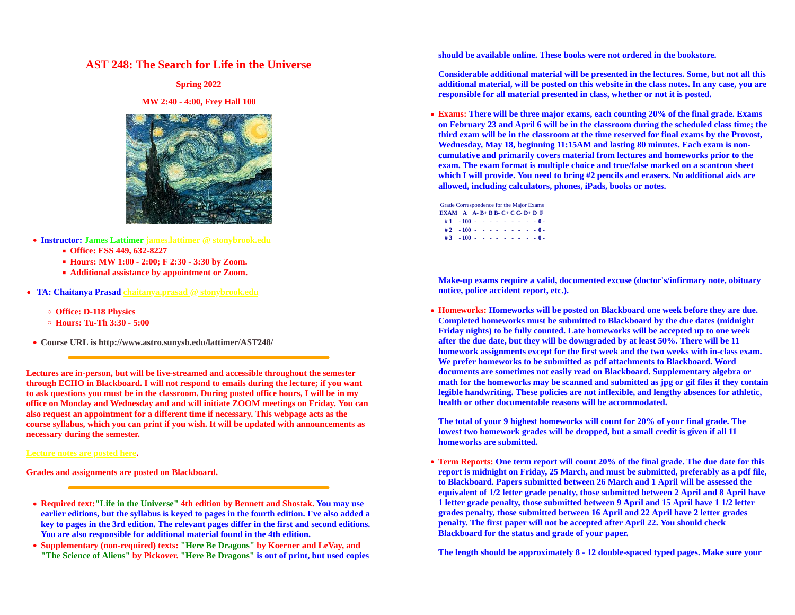## **AST 248: The Search for Life in the Universe**

**MW 2:40 - 4:00, Frey Hall 100**



- **Instructor: James Lattimer james.lattimer @ stonybrook.edu**
	- **Office: ESS 449, 632-8227**
	- **Hours: MW 1:00 2:00; F 2:30 3:30 by Zoom.**
	- **Additional assistance by appointment or Zoom.**
- **TA: Chaitanya Prasad chaitanya.prasad @ stonybrook.edu**
	-
	-
- 

**Lectures are in-person, but will be live-streamed and accessible throughout the semester through ECHO in Blackboard. I will not respond to emails during the lecture; if you want to ask questions you must be in the classroom. During posted office hours, I will be in my office on Monday and Wednesday and and will initiate ZOOM meetings on Friday. You can also request an appointment for a different time if necessary. This webpage acts as the course syllabus, which you can print if you wish. It will be updated with announcements as necessary during the semester. lowest two homework grades will be dropped, but a small credit is given if all 11** 

**Lecture notes are posted here.**

- **Required text:"Life in the Universe" 4th edition by Bennett and Shostak. You may use earlier editions, but the syllabus is keyed to pages in the fourth edition. I've also added a key to pages in the 3rd edition. The relevant pages differ in the first and second editions. You are also responsible for additional material found in the 4th edition.**
- **Supplementary (non-required) texts: "Here Be Dragons" by Koerner and LeVay, and "The Science of Aliens" by Pickover. "Here Be Dragons" is out of print, but used copies**

**should be available online. These books were not ordered in the bookstore.**

**Spring 2022 additional material, will be posted on this website in the class notes. In any case, you are Considerable additional material will be presented in the lectures. Some, but not all this responsible for all material presented in class, whether or not it is posted.**

> **Exams: There will be three major exams, each counting 20% of the final grade. Exams on February 23 and April 6 will be in the classroom during the scheduled class time; the third exam will be in the classroom at the time reserved for final exams by the Provost, Wednesday, May 18, beginning 11:15AM and lasting 80 minutes. Each exam is noncumulative and primarily covers material from lectures and homeworks prior to the exam. The exam format is multiple choice and true/false marked on a scantron sheet which I will provide. You need to bring #2 pencils and erasers. No additional aids are allowed, including calculators, phones, iPads, books or notes.**

Grade Correspondence for the Major Exams **EXAM A A- B+ B B- C+ C C- D+ D F # 1 - 100 - - - - - - - - - 0 - # 2 - 100 - - - - - - - - - 0 - # 3 - 100 - - - - - - - - - 0 -**

**Make-up exams require a valid, documented excuse (doctor's/infirmary note, obituary notice, police accident report, etc.).**

**Office: D-118 Physics Homeworks: Homeworks will be posted on Blackboard one week before they are due. Hours: Tu-Th 3:30 - 5:00 Completed homeworks must be submitted to Blackboard by the due dates (midnight Course URL is http://www.astro.sunysb.edu/lattimer/AST248/ after the due date, but they will be downgraded by at least 50%. There will be 11 Friday nights) to be fully counted. Late homeworks will be accepted up to one week homework assignments except for the first week and the two weeks with in-class exam. We prefer homeworks to be submitted as pdf attachments to Blackboard. Word documents are sometimes not easily read on Blackboard. Supplementary algebra or math for the homeworks may be scanned and submitted as jpg or gif files if they contain legible handwriting. These policies are not inflexible, and lengthy absences for athletic, health or other documentable reasons will be accommodated.**

> **The total of your 9 highest homeworks will count for 20% of your final grade. The homeworks are submitted.**

**Grades and assignments are posted on Blackboard. report is midnight on Friday, 25 March, and must be submitted, preferably as a pdf file, Term Reports: One term report will count 20% of the final grade. The due date for this to Blackboard. Papers submitted between 26 March and 1 April will be assessed the equivalent of 1/2 letter grade penalty, those submitted between 2 April and 8 April have 1 letter grade penalty, those submitted between 9 April and 15 April have 1 1/2 letter grades penalty, those submitted between 16 April and 22 April have 2 letter grades penalty. The first paper will not be accepted after April 22. You should check Blackboard for the status and grade of your paper.**

**The length should be approximately 8 - 12 double-spaced typed pages. Make sure your**